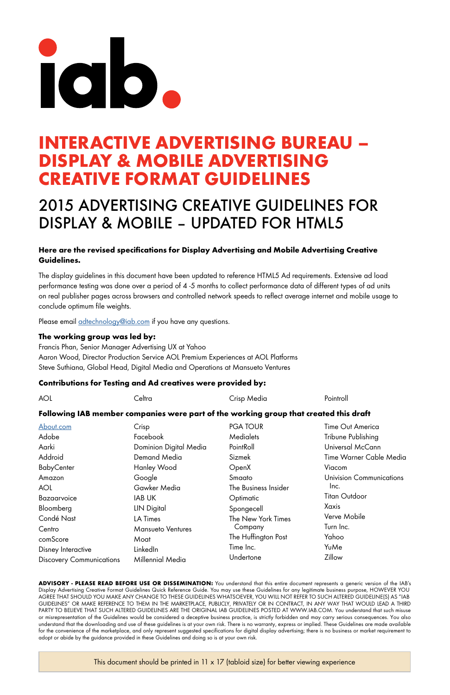# 

## INTERACTIVE ADVERTISING BUREAU – DISPLAY & MOBILE ADVERTISING CREATIVE FORMAT GUIDELINES

## 2015 ADVERTISING CREATIVE GUIDELINES FOR DISPLAY & MOBILE – UPDATED FOR HTML5

#### Here are the revised specifications for Display Advertising and Mobile Advertising Creative Guidelines.

The display guidelines in this document have been updated to reference HTML5 Ad requirements. Extensive ad load performance testing was done over a period of 4 -5 months to collect performance data of different types of ad units on real publisher pages across browsers and controlled network speeds to reflect average internet and mobile usage to conclude optimum file weights.

Please email *adtechnology@iab.com* if you have any questions.

#### The working group was led by:

Francis Phan, Senior Manager Advertising UX at Yahoo Aaron Wood, Director Production Service AOL Premium Experiences at AOL Platforms Steve Suthiana, Global Head, Digital Media and Operations at Mansueto Ventures

#### Contributions for Testing and Ad creatives were provided by:

| <b>AOL</b> | Jeltra | Crisp Media | Pointroll |
|------------|--------|-------------|-----------|
|------------|--------|-------------|-----------|

#### Following IAB member companies were part of the working group that created this draft

| About.com                       | Crisp                    | <b>PGA TOUR</b>      | Time Out America                |
|---------------------------------|--------------------------|----------------------|---------------------------------|
| Adobe                           | Facebook                 | <b>Medialets</b>     | Tribune Publishing              |
| Aarki                           | Dominion Digital Media   | PointRoll            | Universal McCann                |
| Addroid                         | Demand Media             | Sizmek               | Time Warner Cable Media         |
| <b>BabyCenter</b>               | Hanley Wood              | OpenX                | Viacom                          |
| Amazon                          | Google                   | Smaato               | <b>Univision Communications</b> |
| <b>AOL</b>                      | Gawker Media             | The Business Insider | Inc.                            |
| Bazaarvoice                     | <b>IAB UK</b>            | Optimatic            | <b>Titan Outdoor</b>            |
| Bloomberg                       | <b>LIN Digital</b>       | Spongecell           | Xaxis                           |
| Condé Nast                      | LA Times                 | The New York Times   | Verve Mobile                    |
| Centro                          | <b>Mansueto Ventures</b> | Company              | Turn Inc.                       |
| comScore                        | Moat                     | The Huffington Post  | Yahoo                           |
| Disney Interactive              | LinkedIn                 | Time Inc.            | YuMe                            |
| <b>Discovery Communications</b> | Millennial Media         | Undertone            | Zillow                          |

ADVISORY - PLEASE READ BEFORE USE OR DISSEMINATION: You understand that this entire document represents a generic version of the IAB's Display Advertising Creative Format Guidelines Quick Reference Guide. You may use these Guidelines for any legitimate business purpose, HOWEVER YOU AGREE THAT SHOULD YOU MAKE ANY CHANGE TO THESE GUIDELINES WHATSOEVER, YOU WILL NOT REFER TO SUCH ALTERED GUIDELINE(S) AS "IAB GUIDELINES" OR MAKE REFERENCE TO THEM IN THE MARKETPLACE, PUBLICLY, PRIVATELY OR IN CONTRACT, IN ANY WAY THAT WOULD LEAD A THIRD PARTY TO BELIEVE THAT SUCH ALTERED GUIDELINES ARE THE ORIGINAL IAB GUIDELINES POSTED AT WWW.I[AB.COM](http://WWW.IAB.NET.). You understand that such misuse or misrepresentation of the Guidelines would be considered a deceptive business practice, is strictly forbidden and may carry serious consequences. You also understand that the downloading and use of these guidelines is at your own risk. There is no warranty, express or implied. These Guidelines are made available for the convenience of the marketplace, and only represent suggested specifications for digital display advertising; there is no business or market requirement to adopt or abide by the guidance provided in these Guidelines and doing so is at your own risk.

This document should be printed in  $11 \times 17$  (tabloid size) for better viewing experience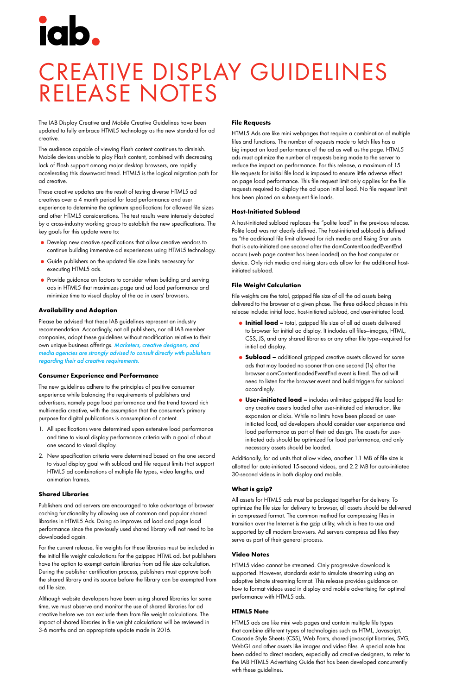The IAB Display Creative and Mobile Creative Guidelines have been updated to fully embrace HTML5 technology as the new standard for ad creative.

The audience capable of viewing Flash content continues to diminish. Mobile devices unable to play Flash content, combined with decreasing lack of Flash support among major desktop browsers, are rapidly accelerating this downward trend. HTML5 is the logical migration path for ad creative.

These creative updates are the result of testing diverse HTML5 ad creatives over a 4 month period for load performance and user experience to determine the optimum specifications for allowed file sizes and other HTML5 considerations. The test results were intensely debated by a cross-industry working group to establish the new specifications. The key goals for this update were to:

- •Develop new creative specifications that allow creative vendors to continue building immersive ad experiences using HTML5 technology.
- •Guide publishers on the updated file size limits necessary for executing HTML5 ads.
- Provide guidance on factors to consider when building and serving ads in HTML5 that maximizes page and ad load performance and minimize time to visual display of the ad in users' browsers.

#### Availability and Adoption

Please be advised that these IAB guidelines represent an industry recommendation. Accordingly, not all publishers, nor all IAB member companies, adopt these guidelines without modification relative to their own unique business offerings. Marketers, creative designers, and media agencies are strongly advised to consult directly with publishers regarding their ad creative requirements.

#### Consumer Experience and Performance

The new guidelines adhere to the principles of positive consumer experience while balancing the requirements of publishers and advertisers, namely page load performance and the trend toward rich multi-media creative, with the assumption that the consumer's primary purpose for digital publications is consumption of content.

- 1. All specifications were determined upon extensive load performance and time to visual display performance criteria with a goal of about one second to visual display.
- 2. New specification criteria were determined based on the one second to visual display goal with subload and file request limits that support HTML5 ad combinations of multiple file types, video lengths, and animation frames.

#### Shared Libraries

Publishers and ad servers are encouraged to take advantage of browser caching functionality by allowing use of common and popular shared libraries in HTML5 Ads. Doing so improves ad load and page load performance since the previously used shared library will not need to be downloaded again.

- **Initial load –** total, gzipped file size of all ad assets delivered to browser for initial ad display. It includes all files—images, HTML, CSS, JS, and any shared libraries or any other file type—required for initial ad display.
- **Subload –** additional gzipped creative assets allowed for some ads that may loaded no sooner than one second (1s) after the browser domContentLoadedEventEnd event is fired. The ad will need to listen for the browser event and build triggers for subload accordingly.
- **User-initiated load –** includes unlimited gzipped file load for any creative assets loaded after user-initiated ad interaction, like expansion or clicks. While no limits have been placed on userinitiated load, ad developers should consider user experience and load performance as part of their ad design. The assets for userinitiated ads should be optimized for load performance, and only necessary assets should be loaded.

For the current release, file weights for these libraries must be included in the initial file weight calculations for the gzipped HTML ad, but publishers have the option to exempt certain libraries from ad file size calculation. During the publisher certification process, publishers must approve both the shared library and its source before the library can be exempted from ad file size.

Although website developers have been using shared libraries for some time, we must observe and monitor the use of shared libraries for ad creative before we can exclude them from file weight calculations. The impact of shared libraries in file weight calculations will be reviewed in 3-6 months and an appropriate update made in 2016.

#### File Requests

HTML5 Ads are like mini webpages that require a combination of multiple files and functions. The number of requests made to fetch files has a big impact on load performance of the ad as well as the page. HTML5 ads must optimize the number of requests being made to the server to reduce the impact on performance. For this release, a maximum of 15 file requests for initial file load is imposed to ensure little adverse effect on page load performance. This file request limit only applies for the file requests required to display the ad upon initial load. No file request limit has been placed on subsequent file loads.

#### Host-Initiated Subload

A host-initiated subload replaces the "polite load" in the previous release. Polite load was not clearly defined. The host-initiated subload is defined as "the additional file limit allowed for rich media and Rising Star units that is auto-initiated one second after the domContentLoadedEventEnd occurs (web page content has been loaded) on the host computer or device. Only rich media and rising stars ads allow for the additional hostinitiated subload.

#### File Weight Calculation

File weights are the total, gzipped file size of all the ad assets being delivered to the browser at a given phase. The three ad-load phases in this release include: initial load, host-initiated subload, and user-initiated load.

Additionally, for ad units that allow video, another 1.1 MB of file size is allotted for auto-initiated 15-second videos, and 2.2 MB for auto-initiated 30-second videos in both display and mobile.

#### What is gzip?

All assets for HTML5 ads must be packaged together for delivery. To optimize the file size for delivery to browser, all assets should be delivered

in compressed format. The common method for compressing files in transition over the Internet is the gzip utility, which is free to use and supported by all modern browsers. Ad servers compress ad files they serve as part of their general process.

#### Video Notes

HTML5 video cannot be streamed. Only progressive download is supported. However, standards exist to simulate streaming using an adaptive bitrate streaming format. This release provides guidance on how to format videos used in display and mobile advertising for optimal performance with HTML5 ads.

#### HTML5 Note

HTML5 ads are like mini web pages and contain multiple file types that combine different types of technologies such as HTML, Javascript, Cascade Style Sheets (CSS), Web Fonts, shared javascript libraries, SVG, WebGL and other assets like images and video files. A special note has been added to direct readers, especially ad creative designers, to refer to the IAB HTML5 Advertising Guide that has been developed concurrently with these guidelines.

## iab.

## CREATIVE DISPLAY GUIDELINES RELEASE NOTES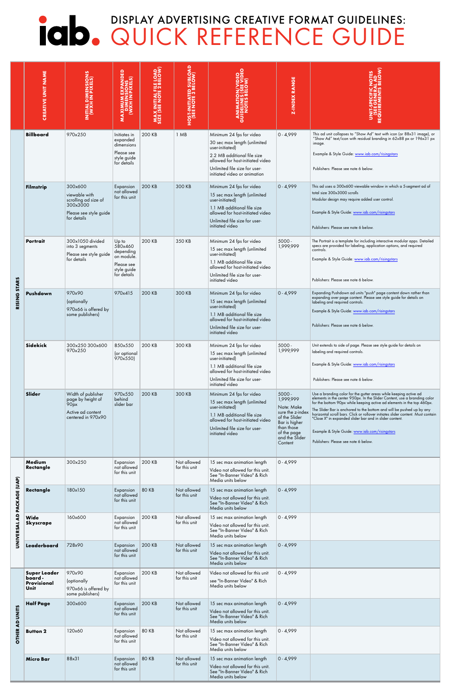|                            | <b>CREATIVE UNIT NAME</b>                      | <b>INITIAL DIMENSIONS</b><br>(WXH IN PIXELS)                                                          | DED<br>MAXI                                                                             | <b>MAX INITIAL FILE LOAD</b><br>SIZE (SEE NOTE 2 BELOW) | <b>HOST-INITIATED SUBLOAD<br/>(SEE NOTE 3 BELOW)</b> | ⊂><br>8                                                                                                                                                                                                         | <b>Z-INDEX RANGE</b>                                                                                                                                | REQ<br>5                                                                                                                                                                                                                                                                                                                                                                                                                                                                                                                                   |
|----------------------------|------------------------------------------------|-------------------------------------------------------------------------------------------------------|-----------------------------------------------------------------------------------------|---------------------------------------------------------|------------------------------------------------------|-----------------------------------------------------------------------------------------------------------------------------------------------------------------------------------------------------------------|-----------------------------------------------------------------------------------------------------------------------------------------------------|--------------------------------------------------------------------------------------------------------------------------------------------------------------------------------------------------------------------------------------------------------------------------------------------------------------------------------------------------------------------------------------------------------------------------------------------------------------------------------------------------------------------------------------------|
|                            | <b>Billboard</b>                               | 970x250                                                                                               | Initiates in<br>expanded<br>dimensions<br>Please see<br>style guide<br>for details      | 200 KB                                                  | 1 MB                                                 | Minimum 24 fps for video<br>30 sec max length (unlimited<br>user-initiated)<br>2.2 MB additional file size<br>allowed for host-initiated video<br>Unlimited file size for user-<br>initiated video or animation | $0 - 4,999$                                                                                                                                         | This ad unit collapses to "Show Ad" text with icon (or 88x31 image), or<br>"Show Ad" text/icon with residual branding in 62x88 px or 196x31 px<br>image.<br>Example & Style Guide: www.iab.com/risingstars<br>Publishers: Please see note 6 below.                                                                                                                                                                                                                                                                                         |
|                            | Filmstrip                                      | 300x600<br>viewable with<br>scrolling ad size of<br>300x3000<br>Please see style guide<br>for details | Expansion<br>not allowed<br>for this unit                                               | 200 KB                                                  | 300 KB                                               | Minimum 24 fps for video<br>15 sec max length (unlimited<br>user-initiated)<br>1.1 MB additional file size<br>allowed for host-initiated video<br>Unlimited file size for user-<br>initiated video              | $0 - 4,999$                                                                                                                                         | This ad uses a 300x600 viewable window in which a 5-segment ad of<br>total size 300x3000 scrolls<br>Modular design may require added user control.<br>Example & Style Guide: www.iab.com/risingstars<br>Publishers: Please see note 6 below.                                                                                                                                                                                                                                                                                               |
|                            | <b>Portrait</b>                                | 300x1050 divided<br>into 3 segments<br>Please see style guide<br>for details                          | Up to<br>580x460<br>depending<br>on module.<br>Please see<br>style guide<br>for details | 200 KB                                                  | 350 KB                                               | Minimum 24 fps for video<br>15 sec max length (unlimited<br>user-initiated)<br>1.1 MB additional file size<br>allowed for host-initiated video<br>Unlimited file size for user-<br>initiated video              | $5000 -$<br>1,999,999                                                                                                                               | The Portrait is a template for including interactive modular apps. Detailed specs are provided for labeling, application options, and required<br>controls.<br>Example & Style Guide: www.iab.com/risingstars<br>Publishers: Please see note 6 below.                                                                                                                                                                                                                                                                                      |
| <b>RISING STARS</b>        | Pushdown                                       | 970x90<br>(optionally<br>970x66 is offered by<br>some publishers)                                     | 970x415                                                                                 | 200 KB                                                  | 300 KB                                               | Minimum 24 fps for video<br>15 sec max length (unlimited<br>user-initiated)<br>1.1 MB additional file size<br>allowed for host-initiated video<br>Unlimited file size for user-<br>initiated video              | $0 - 4,999$                                                                                                                                         | Expanding Pushdown ad units "push" page content down rather than<br>expanding over page content. Please see style guide for details on<br>labeling and required controls.<br>Example & Style Guide: www.iab.com/risingstars<br>Publishers: Please see note 6 below.                                                                                                                                                                                                                                                                        |
|                            | <b>Sidekick</b>                                | 300x250 300x600<br>970x250                                                                            | 850×550<br>(or optional<br>970x550)                                                     | 200 KB                                                  | 300 KB                                               | Minimum 24 fps for video<br>15 sec max length (unlimited<br>user-initiated)<br>1.1 MB additional file size<br>allowed for host-initiated video<br>Unlimited file size for user-<br>initiated video              | $5000 -$<br>1,999,999                                                                                                                               | Unit extends to side of page. Please see style guide for details on<br>labeling and required controls.<br>Example & Style Guide: www.iab.com/risingstars<br>Publishers: Please see note 6 below.                                                                                                                                                                                                                                                                                                                                           |
|                            | Slider                                         | Width of publisher<br>page by height of<br>90px<br>Active ad content<br>centered in 970x90            | 970×550<br>behind<br>slider bar                                                         | 200 KB                                                  | 300 KB                                               | Minimum 24 fps for video<br>15 sec max length (unlimited<br>user-initiated)<br>1.1 MB additional file size<br>allowed for host-initiated video<br>Unlimited file size for user-<br>initiated video              | $5000 -$<br>1,999,999<br>Note: Make<br>sure the z-index<br>of the Slider<br>Bar is higher<br>than those<br>of the page<br>and the Slider<br>Content | Use a branding color for the gutter areas while keeping active ad<br>elements in the center 950px. In the Slider Content, use a branding color<br>for the bottom 90px while keeping active ad elements in the top 460px.<br>The Slider Bar is anchored to the bottom and will be pushed up by any<br>horizontal scroll bars. Click or rollover initiates slider content. Must contain<br>"Close X" in expanded slider bar and in slider content.<br>Example & Style Guide: www.iab.com/risingstars<br>Publishers: Please see note 6 below. |
|                            | Medium<br>Rectangle                            | 300×250                                                                                               | Expansion<br>not allowed<br>for this unit                                               | 200 KB                                                  | Not allowed<br>for this unit                         | 15 sec max animation length<br>Video not allowed for this unit.<br>See "In-Banner Video" & Rich<br>Media units below                                                                                            | $0 - 4,999$                                                                                                                                         |                                                                                                                                                                                                                                                                                                                                                                                                                                                                                                                                            |
| UNIVERSAL AD PACKAGE (UAP) | Rectangle                                      | 180x150                                                                                               | Expansion<br>not allowed<br>for this unit                                               | <b>80 KB</b>                                            | Not allowed<br>for this unit                         | 15 sec max animation length<br>Video not allowed for this unit.<br>See "In-Banner Video" & Rich<br>Media units below                                                                                            | $0 - 4,999$                                                                                                                                         |                                                                                                                                                                                                                                                                                                                                                                                                                                                                                                                                            |
|                            | Wide<br><b>Skyscrape</b>                       | 160x600                                                                                               | Expansion<br>not allowed<br>for this unit                                               | 200 KB                                                  | Not allowed<br>for this unit                         | 15 sec max animation length<br>Video not allowed for this unit.<br>See "In-Banner Video" & Rich<br>Media units below                                                                                            | $0 - 4,999$                                                                                                                                         |                                                                                                                                                                                                                                                                                                                                                                                                                                                                                                                                            |
|                            | Leaderboard                                    | 728x90                                                                                                | Expansion<br>not allowed<br>for this unit                                               | 200 KB                                                  | Not allowed<br>for this unit                         | 15 sec max animation length<br>Video not allowed for this unit.<br>See "In-Banner Video" & Rich<br>Media units below                                                                                            | $0 - 4,999$                                                                                                                                         |                                                                                                                                                                                                                                                                                                                                                                                                                                                                                                                                            |
|                            | Super Leader<br>board -<br>Provisional<br>Unit | 970x90<br>(optionally<br>970x66 is offered by<br>some publishers)                                     | Expansion<br>not allowed<br>for this unit                                               | 200 KB                                                  | Not allowed<br>for this unit                         | Video not allowed for this unit<br>see "In-Banner Video" & Rich<br>Media units below                                                                                                                            | $0 - 4,999$                                                                                                                                         |                                                                                                                                                                                                                                                                                                                                                                                                                                                                                                                                            |
| OTHER AD UNITS             | <b>Half Page</b>                               | 300x600                                                                                               | Expansion<br>not allowed<br>for this unit                                               | 200 KB                                                  | Not allowed<br>for this unit                         | 15 sec max animation length<br>Video not allowed for this unit.<br>See "In-Banner Video" & Rich<br>Media units below                                                                                            | $0 - 4,999$                                                                                                                                         |                                                                                                                                                                                                                                                                                                                                                                                                                                                                                                                                            |
|                            | <b>Button 2</b>                                | 120x60                                                                                                | Expansion<br>not allowed<br>for this unit                                               | 80 KB                                                   | Not allowed<br>for this unit                         | 15 sec max animation length<br>Video not allowed for this unit.<br>See "In-Banner Video" & Rich<br>Media units below                                                                                            | $0 - 4,999$                                                                                                                                         |                                                                                                                                                                                                                                                                                                                                                                                                                                                                                                                                            |
|                            | <b>Micro Bar</b>                               | 88x31                                                                                                 | Expansion<br>not allowed<br>for this unit                                               | <b>80 KB</b>                                            | Not allowed<br>for this unit                         | 15 sec max animation length<br>Video not allowed for this unit.<br>See "In-Banner Video" & Rich<br>Media units below                                                                                            | $0 - 4,999$                                                                                                                                         |                                                                                                                                                                                                                                                                                                                                                                                                                                                                                                                                            |

## DISPLAY ADVERTISING CREATIVE FORMAT GUIDELINES: QUICK REFERENCE GUIDE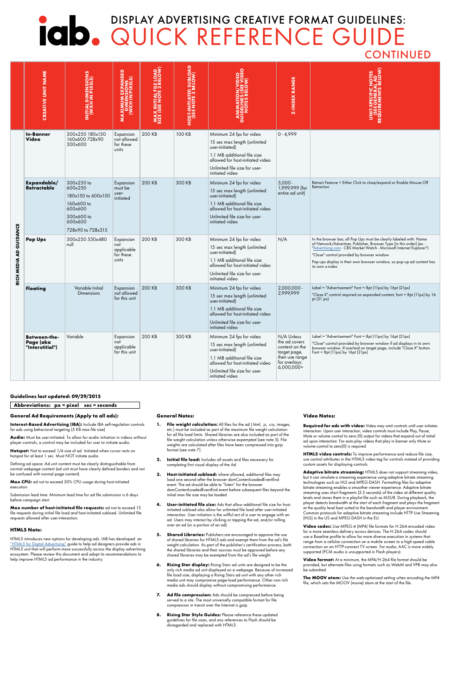## DISPLAY ADVERTISING CREATIVE FORMAT GUIDELINES: **Iab.** QUICK REFERENCE GUIDE

| <b>CONTINUED</b> |  |  |
|------------------|--|--|
|                  |  |  |

#### Guidelines last updated: 09/29/2015

Abbreviations:  $px = pixel$  sec = seconds

#### General Ad Requirements (Apply to all ads):

Audio: Must be user-initiated. To allow for audio initiation in videos without player controls, a control may be included for user to initiate audio.

Interest-Based Advertising (IBA): Include IBA self-regulation controls for ads using behavioral targeting (5 KB max file size)

Hotspot: Not to exceed 1/4 size of ad. Initiated when cursor rests on hotspot for at least 1 sec. Must NOT initiate audio.

Defining ad space: Ad unit content must be clearly distinguishable from normal webpage content (ad unit must have clearly defined borders and not be confused with normal page content).

Max CPU: ad not to exceed 30% CPU usage during host-initiated execution.

Submission lead time: Minimum lead time for ad file submission is 6 days before campaign start.

Max number of host-initiated file requests: ad not to exceed 15

file requests during initial file load and host-initiated subload. Unlimited file requests allowed after user-interaction.

#### HTML5 Note:

HTML5 introduces new options for developing ads. IAB has developed an ["HTML5 for Digital Advertising"]( http://www.iab.com/html5) guide to help ad designers provide ads in HTML5 unit that will perform more successfully across the display advertising ecosystem. Please review this document and adopt its recommendations to help improve HTML5 ad performance in the industry.

#### General Notes:

- 1. File weight calculation: All files for the ad (.html, .js, .css, images, etc.) must be included as part of the maximum file weight calculation for all file load limits. Shared libraries are also included as part of the file weight calculation unless otherwise expempted (see note 5). File weights are calculated after files have been compressed into gzip format (see note 7).
- 2. Initial file load: Includes all assets and files necessary for completing first visual display of the Ad.
- 3. Host-initiated subload: where allowed, additional files may load one second after the browser domContentLoadedEventEnd event. The ad should be able to "listen" for the browser domContentLoadedEventEnd event before subsequent files beyond the initial max file size may be loaded.
- 4. User-initiated file size: Ads that allow additional file size for hostv for unlimited file load after us

- 5. Shared Libraries: Publishers are encouraged to approve the use of shared libraries for HTML5 ads and exempt them from the ad's file weight calculation. As part of the publisher's certification process, both the shared libraries and their sources must be approved before any shared libraries may be exempted from the ad's file weight.
- **6.** Rising Star display: Rising Stars ad units are designed to be the only rich media ad unit displayed on a webpage. Because of increased file load size, displaying a Rising Stars ad unit with any other rich media unit may compromise page-load performance. Other non-rich media ads should display without compromising performance.
- 7. Ad file compression: Ads should be compressed before being served to a site. The most universally compatible format for file compression in transit over the Internet is gzip.
- 8. Rising Star Style Guides: Please reference these updated guidelines for file sizes, and any references to Flash should be disregarded and replaced with HTML5.

Required for ads with video: Video may omit controls until user initiates interaction. Upon user interaction, video controls must include Play, Pause, Mute or volume control to zero (0) output for videos that expand out of initial ad upon interaction. For auto play videos that play in banner only Mute or volume control to zero(0) is required.

HTML5 video controls: To improve performance and reduce file size, use control attributes in the HTML5 video tag for controls instead of providing custom assets for displaying controls.

Adaptive bitrate streaming: HTML5 does not support streaming video, but it can simulate a streaming experience using adaptive bitrate streaming technologies such as HLS and MPEG-DASH. Formatting files for adaptive bitrate streaming enables a smoother viewer experience. Adaptive bitrate streaming uses short fragments (2-3 seconds) of the video at different quality levels and stores them in a playlist file such as M3U8. During playback, the player detects bandwidth at the start of each fragment and plays the fragment at the quality level best suited to the bandwidth and player environment.

interaction. User initiation is the willful act of a user to engage with an ad. Users may interact by clicking or tapping the ad, and/or rolling over an ad (or a portion of an ad).

> Video format: At a minimum, the MP4/H.264 file format should be provided, but alternate files using formats such as WebM and VP8 may also be submitted.

The MOOV atom: Use the web-optimized setting when encoding the MP4 file, which sets the MOOV (movie) atom at the start of the file.

#### Video Notes:

Common protocols for adaptive bitrate streaming include HTTP Live Streaming (HLS) in the US and MPEG-DASH in the EU.

Video codec: Use MPEG-4 (MP4) file formats for H.264-encoded video for a more seamless delivery across devices. The H.264 codec should use a Baseline profile to allow for more diverse execution in systems that range from a cellular connection on a mobile screen to a high-speed cable connection on an HTTP-connect TV screen. For audio, AAC is more widely supported (PCM audio is unsupported in Flash players).

|                        | <b>CREATIVE UNIT NAME</b>                    | INITIAL DIMENSIONS<br>(WXH IN PIXELS)                                                                              | ANDED<br>NS<br>(ELS)<br><b>MAXIMUM E</b><br>DIMENS<br>WXH IN | <b>MAX INITIAL FILE LOAD</b><br>SIZE (SEE NOTE 2 BELOW | <b>HOST-INITIATED SUBLOAD<br/>(SEE NOTE 3 BELOW)</b> | ANIMATIC<br>GUIDELINES<br>GUIDELINES                                                                                                                                                               | <b>Z-INDEX RANGE</b>                                                                                             |                                                                                                                                                                                                                                                                                                                                                              |
|------------------------|----------------------------------------------|--------------------------------------------------------------------------------------------------------------------|--------------------------------------------------------------|--------------------------------------------------------|------------------------------------------------------|----------------------------------------------------------------------------------------------------------------------------------------------------------------------------------------------------|------------------------------------------------------------------------------------------------------------------|--------------------------------------------------------------------------------------------------------------------------------------------------------------------------------------------------------------------------------------------------------------------------------------------------------------------------------------------------------------|
|                        | <b>In-Banner</b><br>Video                    | 300x250 180x150<br>160x600728x90<br>300x600                                                                        | Expansion<br>not allowed<br>for these<br>units               | 200 KB                                                 | 100 KB                                               | Minimum 24 fps for video<br>15 sec max length (unlimited<br>user-initiated)<br>1.1 MB additional file size<br>allowed for host-initiated video<br>Unlimited file size for user-<br>initiated video | $0 - 4,999$                                                                                                      |                                                                                                                                                                                                                                                                                                                                                              |
|                        | Expandable/<br>Retractable                   | 300x250 to<br>600x250<br>180x150 to 600x150<br>160x600 to<br>600x600<br>300x600 to<br>600x600<br>728x90 to 728x315 | Expansion<br>must be<br>user-<br>initiated                   | 200 KB                                                 | 300 KB                                               | Minimum 24 fps for video<br>15 sec max length (unlimited<br>user-initiated)<br>1.1 MB additional file size<br>allowed for host-initiated video<br>Unlimited file size for user-<br>initiated video | $5,000 -$<br>1,999,999 (for<br>entire ad unit)                                                                   | Retract Feature = Either Click to close/expand or Enable Mouse-Off<br>Retraction                                                                                                                                                                                                                                                                             |
| RICH MEDIA AD GUIDANCE | <b>Pop Ups</b>                               | 300x250 550x480<br>null                                                                                            | Expansion<br>not<br>applicable<br>for these<br>units         | 200 KB                                                 | 300 KB                                               | Minimum 24 fps for video<br>15 sec max length (unlimited<br>user-initiated)<br>1.1 MB additional file size<br>allowed for host-initiated video<br>Unlimited file size for user-<br>initiated video | N/A                                                                                                              | In the browser bar, all Pop Ups must be clearly labeled with: Name<br>of Network/Advertiser, Publisher, Browser Type [in this order] (ex.:<br>"Advertising.com - CBS Market Watch - Microsoft Internet Explorer")<br>"Close" control provided by browser window.<br>Pop-ups display in their own browser window, so pop-up ad content has<br>its own z-index |
|                        | <b>Floating</b>                              | Variable Initial<br>Dimensions                                                                                     | Expansion<br>not allowed<br>for this unit                    | 200 KB                                                 | 300 KB                                               | Minimum 24 fps for video<br>15 sec max length (unlimited<br>user-initiated)<br>1.1 MB additional file size<br>allowed for host-initiated video<br>Unlimited file size for user-<br>initiated video | 2,000,000 -<br>2,999,999                                                                                         | Label = "Advertisement" Font = 8pt ( $11px$ ) by $16pt$ ( $21px$ )<br>"Close X" control required on expanded content, font = 8pt (11px) by 16<br>pt $(21 px)$                                                                                                                                                                                                |
|                        | Between-the-<br>Page (aka<br>"Interstitial") | Variable                                                                                                           | Expansion<br>not<br>applicable<br>for this unit              | 200 KB                                                 | 300 KB                                               | Minimum 24 fps for video<br>15 sec max length (unlimited<br>user-initiated)<br>1.1 MB additional file size<br>allowed for host-initiated video<br>Unlimited file size for user-<br>initiated video | N/A Unless<br>the ad covers<br>content on the<br>target page,<br>then use range<br>for overlays:<br>$6,000,000+$ | Label = "Advertisement" Font = 8pt (11px) by 16pt (21px)<br>"Close" control provided by browser window if ad displays in its own<br>browser window. If overlaid on target page, include "Close X" button.<br>Font = $8pt(11px)$ by 16pt (21px)                                                                                                               |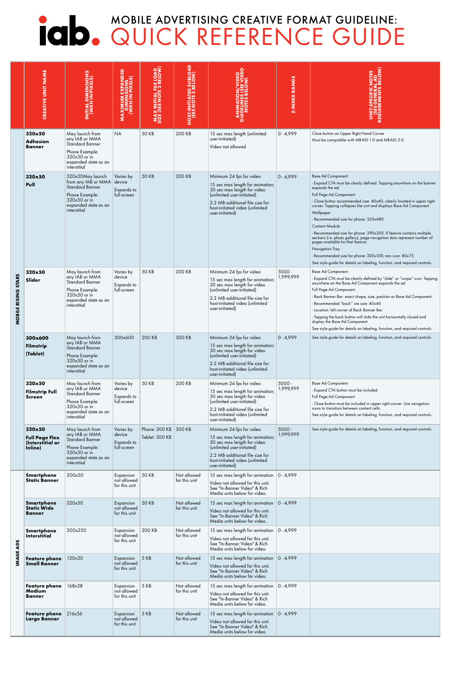|                     | <b>CREATIVE UNIT NAME</b>                                      | <b>INITIAL DIMENSIONS</b><br>(WXH IN PIXELS)                                                                                                       | <b>Q3QN</b><br>$\overline{15}$<br><b>DIMENS</b><br>WXH IN I<br><b>MAXIMUM</b> | <b>MAX INITIAL FILE LOAD</b><br>SIZE (SEE NOTE 2 BELOW | <b>HOST-INITIATED SUBLOAD<br/>(SEE NOTE 3 BELOW)</b> | ≺ີສ                                                                                                                                                                                                                | <b>Z-INDEX RANGE</b>  | REQUI<br>$\mathsf{I}^{\mathsf{z}}$                                                                                                                                                                                                                                                                                                                                                                                                                                                                                                                                                                                                                                                                                        |
|---------------------|----------------------------------------------------------------|----------------------------------------------------------------------------------------------------------------------------------------------------|-------------------------------------------------------------------------------|--------------------------------------------------------|------------------------------------------------------|--------------------------------------------------------------------------------------------------------------------------------------------------------------------------------------------------------------------|-----------------------|---------------------------------------------------------------------------------------------------------------------------------------------------------------------------------------------------------------------------------------------------------------------------------------------------------------------------------------------------------------------------------------------------------------------------------------------------------------------------------------------------------------------------------------------------------------------------------------------------------------------------------------------------------------------------------------------------------------------------|
|                     | 320×50<br><b>Adhesion</b><br><b>Banner</b>                     | May launch from<br>any IAB or MMA<br>Standard Banner<br>Phone Example:<br>$320x50$ or in<br>expanded state as an<br>interstitial                   | <b>NA</b>                                                                     | <b>50 KB</b>                                           | 200 KB                                               | 15 sec max length (unlimited<br>user-initiated)<br>Video not allowed                                                                                                                                               | $0 - 4,999$           | Close button on Upper Right Hand Corner<br>Must be compatible with MRAID 1.0 and MRAID 2.0                                                                                                                                                                                                                                                                                                                                                                                                                                                                                                                                                                                                                                |
|                     | 320x50<br>Pull                                                 | 320x50May launch<br>from any IAB or MMA device<br><b>Standard Banner</b><br>Phone Example:<br>320x50 or in<br>expanded state as an<br>interstitial | Varies by<br>Expands to<br>full-screen                                        | <b>50 KB</b>                                           | 200 KB                                               | Minimum 24 fps for video<br>15 sec max length for animation;<br>30 sec max length for video<br>(unlimited user-initiated)<br>2.2 MB additional file size for<br>host-initiated video (unlimited<br>user-initiated) | $0 - 4,999$           | <b>Base Ad Component:</b><br>- Expand CTA must be clearly defined. Tapping anywhere on the banner<br>expands the ad.<br>Full Page Ad Component:<br>- Close button recommended size: 40x40, clearly located in upper right<br>corner. Tapping collapses the unit and displays Base Ad Component.<br>Wallpaper<br>- Recommended size for phone: 320x480<br>Content Module<br>- Recommended size for phone: 290x205. If feature contains multiple<br>sections (i.e. photo gallery), page navigation dots represent number of<br>pages available for that feature.<br>Navigation Tray<br>- Recommended size for phone: 320x100, nav icon: 80x75.<br>See style guide for details on labeling, function, and required controls. |
| MOBILE RISING STARS | 320×50<br>Slider                                               | May launch from<br>any IAB or MMA<br>Standard Banner<br>Phone Example:<br>320x50 or in<br>expanded state as an<br>interstitial                     | Varies by<br>device<br>Expands to<br>full-screen                              | <b>50 KB</b>                                           | 200 KB                                               | Minimum 24 fps for video<br>15 sec max length for animation;<br>30 sec max length for video<br>(unlimited user-initiated)<br>2.2 MB additional file size for<br>host-initiated video (unlimited<br>user-initiated) | $5000 -$<br>1,999,999 | <b>Base Ad Component:</b><br>Expand CTA must be clearly defined by "slide" or "swipe" icon. Tapping<br>anywhere on the Base Ad Component expands the ad<br>Full Page Ad Component:<br>- Back Banner Bar: exact shape, size, position as Base Ad Component.<br>- Recommended "back" cta size: 40x40<br>- Location: left corner of Back Banner Bar.<br>- Tapping the back button will slide the unit horizontally closed and<br>display the Base Ad Component<br>See style guide for details on labeling, function, and required controls.                                                                                                                                                                                  |
|                     | 300x600<br>Filmstrip<br>(Tablet)                               | May launch from<br>any IAB or MMA<br>Standard Banner<br>Phone Example:<br>320x50 or in<br>expanded state as an<br>interstitial                     | 300x600                                                                       | 200 KB                                                 | 300 KB                                               | Minimum 24 fps for video<br>15 sec max length for animation;<br>30 sec max length for video<br>(unlimited user-initiated)<br>2.2 MB additional file size for<br>host-initiated video (unlimited<br>user-initiated) | $0 - 4,999$           | See style guide for details on labeling, function, and required controls.                                                                                                                                                                                                                                                                                                                                                                                                                                                                                                                                                                                                                                                 |
|                     | 320×50<br><b>Filmstrip Full</b><br><b>Screen</b>               | May launch from<br>any IAB or MMA<br>Standard Banner<br>Phone Example:<br>320x50 or in<br>expanded state as an<br>interstitial                     | Varies by<br>device<br>Expands to<br>full-screen                              | <b>50 KB</b>                                           | 200 KB                                               | Minimum 24 fps for video<br>15 sec max length for animation;<br>30 sec max length for video<br>(unlimited user-initiated)<br>2.2 MB additional file size for<br>host-initiated video (unlimited<br>user-initiated) | $5000 -$<br>1,999,999 | <b>Base Ad Component:</b><br>- Expand CTA button must be included<br>Full Page Ad Component:<br>- Close button must be included in upper right corner. Use navigation<br>icons to transition between content cells.<br>See style guide for details on labeling, function, and required controls.                                                                                                                                                                                                                                                                                                                                                                                                                          |
|                     | 320x50<br><b>Full Page Flex</b><br>(Interstitial or<br>Inline) | May launch from<br>any IAB or MMA<br>Standard Banner<br>Phone Example:<br>320x50 or in<br>expanded state as an<br>interstitial                     | Varies by<br>device<br>Expands to<br>full-screen                              | Phone: 200 KB 300 KB<br>Tablet: 300 KB                 |                                                      | Minimum 24 fps for video<br>15 sec max length for animation;<br>30 sec max length for video<br>(unlimited user-initiated)<br>2.2 MB additional file size for<br>host-initiated video (unlimited<br>user-initiated) | $5000 -$<br>1,999,999 | See style guide for details on labeling, function, and required controls.                                                                                                                                                                                                                                                                                                                                                                                                                                                                                                                                                                                                                                                 |
|                     | <b>Smartphone</b><br><b>Static Banner</b>                      | 300×50                                                                                                                                             | Expansion<br>not allowed<br>for this unit                                     | 50 KB                                                  | Not allowed<br>for this unit                         | 15 sec max length for animation<br>Video not allowed for this unit.<br>See "In-Banner Video" & Rich<br>Media units below for video.                                                                                | $0 - 4,999$           |                                                                                                                                                                                                                                                                                                                                                                                                                                                                                                                                                                                                                                                                                                                           |
|                     | <b>Smartphone</b><br><b>Static Wide</b><br><b>Banner</b>       | 320×50                                                                                                                                             | Expansion<br>not allowed<br>for this unit                                     | 50 KB                                                  | Not allowed<br>for this unit                         | 15 sec max length for animation   0 - 4,999<br>Video not allowed for this unit.<br>See "In-Banner Video" & Rich<br>Media units below for video.                                                                    |                       |                                                                                                                                                                                                                                                                                                                                                                                                                                                                                                                                                                                                                                                                                                                           |
| IMAGE ADS           | <b>Smartphone</b><br>Interstitial                              | 300×250                                                                                                                                            | Expansion<br>not allowed<br>for this unit                                     | 200 KB                                                 | Not allowed<br>for this unit                         | 15 sec max length for animation   0 - 4,999<br>Video not allowed for this unit.<br>See "In-Banner Video" & Rich<br>Media units below for video.                                                                    |                       |                                                                                                                                                                                                                                                                                                                                                                                                                                                                                                                                                                                                                                                                                                                           |
|                     | <b>Feature phone</b><br><b>Small Banner</b>                    | 120×20                                                                                                                                             | Expansion<br>not allowed<br>for this unit                                     | 5KB                                                    | Not allowed<br>for this unit                         | 15 sec max length for animation   0 - 4,999<br>Video not allowed for this unit.<br>See "In-Banner Video" & Rich<br>Media units below for video.                                                                    |                       |                                                                                                                                                                                                                                                                                                                                                                                                                                                                                                                                                                                                                                                                                                                           |
|                     | <b>Feature phone</b><br><b>Medium</b><br><b>Banner</b>         | 168x28                                                                                                                                             | Expansion<br>not allowed<br>for this unit                                     | 5KB                                                    | Not allowed<br>for this unit                         | 15 sec max length for animation   0 - 4,999<br>Video not allowed for this unit.<br>See "In-Banner Video" & Rich<br>Media units below for video.                                                                    |                       |                                                                                                                                                                                                                                                                                                                                                                                                                                                                                                                                                                                                                                                                                                                           |
|                     | <b>Feature phone</b><br><b>Large Banner</b>                    | 216x36                                                                                                                                             | Expansion<br>not allowed<br>for this unit                                     | 5KB                                                    | Not allowed<br>for this unit                         | 15 sec max length for animation   0 - 4,999<br>Video not allowed for this unit.<br>See "In-Banner Video" & Rich<br>Media units below for video.                                                                    |                       |                                                                                                                                                                                                                                                                                                                                                                                                                                                                                                                                                                                                                                                                                                                           |

## MOBILE ADVERTISING CREATIVE FORMAT GUIDELINE: QUICK REFERENCE GUIDE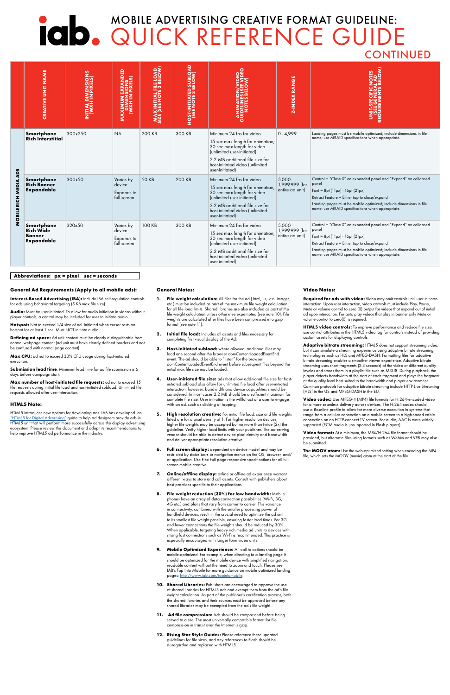## MOBILE ADVERTISING CREATIVE FORMAT GUIDELINE: QUICK REFERENCE GUIDE

#### **CONTINUED**

|                                    | <b>CREATIVE UNIT NAME</b>                                            | INITIAL DIMENSIONS<br>(WXH IN PIXELS) | IS)<br>ISI<br>ISI<br><b>MAXIMI</b><br>MDM<br>WIXAM | <b>MAX INITIAL FILE LOAD</b><br>SIZE (SEE NOTE 2 BELOW | <b>HOST-INITIATED SUBLOAD<br/>(SEE NOTE 3 BELOW)</b> | ξā                                                                                                                                                                                                                 | <b>Z-INDEX RANGE</b>                           |                                                                                                                                                                                                                                                                                       |
|------------------------------------|----------------------------------------------------------------------|---------------------------------------|----------------------------------------------------|--------------------------------------------------------|------------------------------------------------------|--------------------------------------------------------------------------------------------------------------------------------------------------------------------------------------------------------------------|------------------------------------------------|---------------------------------------------------------------------------------------------------------------------------------------------------------------------------------------------------------------------------------------------------------------------------------------|
| ADS                                | <b>Smartphone</b><br><b>Rich Interstitial</b>                        | 300x250                               | <b>NA</b>                                          | 200 KB                                                 | 300 KB                                               | Minimum 24 fps for video<br>15 sec max length for animation;<br>30 sec max length for video<br>(unlimited user-initiated)<br>2.2 MB additional file size for<br>host-initiated video (unlimited<br>user-initiated) | $0 - 4,999$                                    | Landing pages must be mobile optimized; include dimensions in file<br>name; use MRAID specifications when appropriate.                                                                                                                                                                |
| <b>MEDIA</b><br><b>MOBILE RICH</b> | <b>Smartphone</b><br><b>Rich Banner</b><br><b>Expandable</b>         | 300×50                                | Varies by<br>device<br>Expands to<br>full-screen   | <b>50 KB</b>                                           | 200 KB                                               | Minimum 24 fps for video<br>15 sec max length for animation;<br>30 sec max length for video<br>(unlimited user-initiated)<br>2.2 MB additional file size for<br>host-initiated video (unlimited<br>user-initiated) | $5.000 -$<br>1,999,999 (for<br>entire ad unit) | Control = "Close X" on expanded panel and "Expand" on collapsed<br>panel<br>Font = $8pt(11px) - 16pt(21px)$<br>Retract Feature = Either tap to close/expand<br>Landing pages must be mobile optimized; include dimensions in file<br>name; use MRAID specifications when appropriate. |
|                                    | <b>Smartphone</b><br><b>Rich Wide</b><br><b>Banner</b><br>Expandable | 320×50                                | Varies by<br>device<br>Expands to<br>full-screen   | 100 KB                                                 | 300 KB                                               | Minimum 24 fps for video<br>15 sec max length for animation;<br>30 sec max length for video<br>(unlimited user-initiated)<br>2.2 MB additional file size for<br>host-initiated video (unlimited<br>user-initiated) | $5.000 -$<br>1,999,999 (for<br>entire ad unit) | Control = "Close X" on expanded panel and "Expand" on collapsed<br>panel<br>Font = $8pt(11px) - 16pt(21px)$<br>Retract Feature = Either tap to close/expand<br>Landing pages must be mobile optimized; include dimensions in file<br>name; use MRAID specifications when appropriate. |

#### Abbreviations: px = pixel sec = seconds

Audio: Must be user-initiated. To allow for audio initiation in videos without player controls, a control may be included for user to initiate audio.

Hotspot: Not to exceed 1/4 size of ad. Initiated when cursor rests on hotspot for at least 1 sec. Must NOT initiate audio.

Defining ad space: Ad unit content must be clearly distinguishable from normal webpage content (ad unit must have clearly defined borders and not be confused with normal page content).

Submission lead time: Minimum lead time for ad file submission is 6 days before campaign start.

Max number of host-initiated file requests: ad not to exceed 15 file requests during initial file load and host-initiated subload. Unlimited file requests allowed after user-interaction.

#### General Ad Requirements (Apply to all mobile ads):

Interest-Based Advertising (IBA): Include IBA self-regulation controls for ads using behavioral targeting (5 KB max file size)

Max CPU: ad not to exceed 30% CPU usage during host-initiated execution.

- 1. File weight calculation: All files for the ad (.html, .js, .css, images, etc.) must be included as part of the maximum file weight calculation for all file load limits. Shared libraries are also included as part of the file weight calculation unless otherwise expempted (see note 10). File weights are calculated after files have been compressed into azip format (see note 11).
- 2. Initial file load: Includes all assets and files necessary for completing first visual display of the Ad.
- 3. Host-initiated subload: where allowed, additional files may load one second after the browser domContentLoadedEventEnd event. The ad should be able to "listen" for the browser domContentLoadedEventEnd event before subsequent files beyond the initial max file size may be loaded.
- 4. User-initiated file size: ads that allow additional file size for hostinitiated subload also allow for unlimited file load after user-initiated interaction; however, bandwidth and device capabilities should be considered. In most cases 2.2 MB should be a sufficient maximum for complete file size. User initiation is the willful act of a user to engage with an ad, such as clicking or tapping.
- 5. High resolution creative: For initial file load, size and file weights listed are for a pixel density of 1. For higher resolution devices, higher file weights may be accepted but no more than twice (2x) the guideline. Verify higher load limits with your publisher. The ad-serving vendor should be able to detect device pixel density and bandwidth and deliver appropriate resolution creative.
- 6. Full screen display: dependent on device model and may be restricted by status bars or navigation menus on the OS, browser, and/ or application. Use Flex Full page responsive specifications for all full screen mobile creative.
- 7. Online/offline display: online or offline ad experience warrant different ways to store and call assets. Consult with publishers about best practices specific to their applications.
- 8. File weight reduction (30%) for low bandwidth: Mobile phones have an array of data connection possibilities (Wi-Fi, 3G, 4G etc.) and plans that vary from carrier to carrier. This variance in connectivity, combined with the smaller processing power of

#### HTML5 Note:

HTML5 introduces new options for developing ads. IAB has developed an ["HTML5 for Digital Advertising"](http://www.iab.com/html5) guide to help ad designers provide ads in HTML5 unit that will perform more successfully across the display advertising ecosystem. Please review this document and adopt its recommendations to help improve HTML5 ad performance in the industry.

#### General Notes:

- Mobile Optimized Experience: All call to actions should be mobile-optimized. For example, when directing to a landing page it should be optimized for the mobile device with simplified navigation, readable content without the need to zoom and touch. Please see IAB's Tap Into Mobile for more guidance on mobile optimized landing pages: [http://www.iab.com/tapintomobile.](http://www.iab.com/tapintomobile)
- 10. Shared Libraries: Publishers are encouraged to approve the use of shared libraries for HTML5 ads and exempt them from the ad's file weight calculation. As part of the publisher's certification process, both the shared libraries and their sources must be approved before any shared libraries may be exempted from the ad's file weight.
- 11. Ad file compression: Ads should be compressed before being served to a site. The most universally compatible format for file compression in transit over the Internet is gzip.
- 12. Rising Star Style Guides: Please reference these updated guidelines for file sizes, and any references to Flash should be disregarded and replaced with HTML5.

Required for ads with video: Video may omit controls until user initiates interaction. Upon user interaction, video controls must include Play, Pause, Mute or volume control to zero (0) output for videos that expand out of initial ad upon interaction. For auto play videos that play in banner only Mute or volume control to zero(0) is required.

Adaptive bitrate streaming: HTML5 does not support streaming video, but it can simulate a streaming experience using adaptive bitrate streaming technologies such as HLS and MPEG-DASH. Formatting files for adaptive bitrate streaming enables a smoother viewer experience. Adaptive bitrate streaming uses short fragments (2-3 seconds) of the video at different quality leveles and stores them in a playlist file such as M3U8. During playback, the player detects bandwidth at the start of each fragment and plays the fragment at the quality level best suited to the bandwidth and player environment. Common protocols for adaptive bitrate streaming include HTTP Live Streaming (HLS) in the US and MPEG-DASH in the EU.

Video codec: Use MPEG-4 (MP4) file formats for H.264-encoded video for a more seamless delivery across devices. The H.264 codec should use a Baseline profile to allow for more diverse execution in systems that range from a cellular connection on a mobile screen to a high-speed cable connection on an HTTP-connect TV screen. For audio, AAC is more widely supported (PCM audio is unsupported in Flash players).

Video format: At a minimum, the MP4/H.264 file format should be provided, but alternate files using formats such as WebM and VP8 may also be submitted.

The MOOV atom: Use the web-optimized setting when encoding the MP4 file, which sets the MOOV (movie) atom at the start of the file.

handheld devices, result in the crucial need to optimize the ad unit to its smallest file weight possible, ensuring faster load times. For 3G and lower connections the file weights should be reduced by 30%. When applicable, targeting heavy rich media ad units to devices with strong fast connections such as Wi-Fi is recommended. This practice is especially encouraged with longer form video units.

#### Video Notes:

HTML5 video controls: To improve performance and reduce file size, use control attributes in the HTML5 video tag for controls instead of providing custom assets for displaying controls.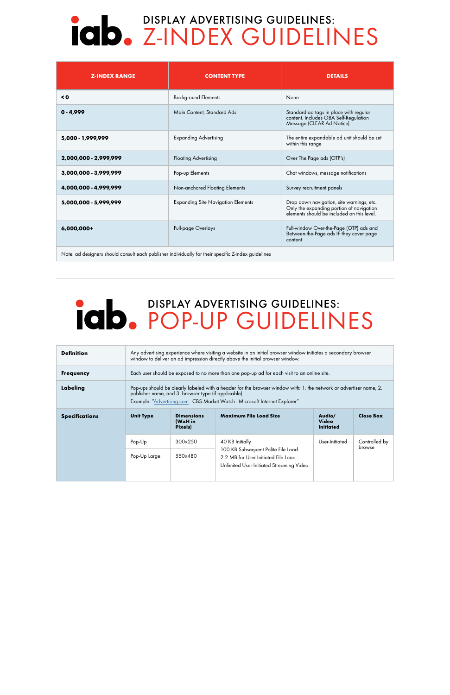| <b>Z-INDEX RANGE</b>                                                                                | <b>CONTENT TYPE</b>                       | <b>DETAILS</b>                                                                                                                      |
|-----------------------------------------------------------------------------------------------------|-------------------------------------------|-------------------------------------------------------------------------------------------------------------------------------------|
| $\leq 0$                                                                                            | <b>Background Elements</b>                | None                                                                                                                                |
| $0 - 4,999$                                                                                         | Main Content, Standard Ads                | Standard ad tags in place with regular<br>content. Includes OBA Self-Regulation<br>Message (CLEAR Ad Notice)                        |
| 5,000 - 1,999,999                                                                                   | <b>Expanding Advertising</b>              | The entire expandable ad unit should be set<br>within this range                                                                    |
| 2,000,000 - 2,999,999                                                                               | <b>Floating Advertising</b>               | Over The Page ads (OTP's)                                                                                                           |
| 3,000,000 - 3,999,999                                                                               | Pop-up Elements                           | Chat windows, message notifications                                                                                                 |
| 4,000,000 - 4,999,999                                                                               | Non-anchored Floating Elements            | Survey recruitment panels                                                                                                           |
| 5,000,000 - 5,999,999                                                                               | <b>Expanding Site Navigation Elements</b> | Drop down navigation, site warnings, etc.<br>Only the expanding portion of navigation<br>elements should be included on this level. |
| 6,000,000+                                                                                          | Full-page Overlays                        | Full-window Over-the-Page (OTP) ads and<br>Between-the-Page ads IF they cover page<br>content                                       |
| Note: ad designers should consult each publisher individually for their specific Z-index guidelines |                                           |                                                                                                                                     |

## DISPLAY ADVERTISING GUIDELINES: Z-INDEX GUIDELINES

## DISPLAY ADVERTISING GUIDELINES: POP-UP GUIDELINES

| <b>Definition</b>     |                  | Any advertising experience where visiting a website in an initial browser window initiates a secondary browser<br>window to deliver an ad impression directly above the initial browser window.                                                           |                                                                                                                       |                                            |                         |  |  |
|-----------------------|------------------|-----------------------------------------------------------------------------------------------------------------------------------------------------------------------------------------------------------------------------------------------------------|-----------------------------------------------------------------------------------------------------------------------|--------------------------------------------|-------------------------|--|--|
| <b>Frequency</b>      |                  | Each user should be exposed to no more than one pop-up ad for each visit to an online site.                                                                                                                                                               |                                                                                                                       |                                            |                         |  |  |
| Labeling              |                  | Pop-ups should be clearly labeled with a header for the browser window with: 1. the network or advertiser name, 2.<br>publisher name, and 3. browser type (if applicable).<br>Example: "Advertising.com - CBS Market Watch - Microsoft Internet Explorer" |                                                                                                                       |                                            |                         |  |  |
| <b>Specifications</b> | <b>Unit Type</b> | <b>Dimensions</b><br>(WxH in<br>Pixels)                                                                                                                                                                                                                   | <b>Maximum File Load Size</b>                                                                                         | Audio/<br><b>Video</b><br><b>Initiated</b> | <b>Close Box</b>        |  |  |
|                       | Pop-Up           | 300x250                                                                                                                                                                                                                                                   | 40 KB Initially                                                                                                       | User-Initiated                             | Controlled by<br>browse |  |  |
|                       | Pop-Up Large     | 550×480                                                                                                                                                                                                                                                   | 100 KB Subsequent Polite File Load<br>2.2 MB for User-Initiated File Load<br>Unlimited User-Initiated Streaming Video |                                            |                         |  |  |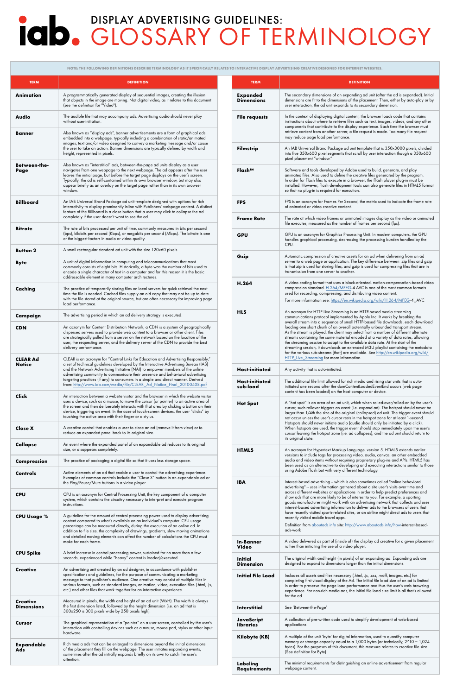## DISPLAY ADVERTISING GUIDELINES: GLOSSARY OF TERMINOLOGY

| <b>TERM</b>                      | <b>DEFINITION</b>                                                                                                                                                                                                                                                                                                                                                                                                                                                                                          |
|----------------------------------|------------------------------------------------------------------------------------------------------------------------------------------------------------------------------------------------------------------------------------------------------------------------------------------------------------------------------------------------------------------------------------------------------------------------------------------------------------------------------------------------------------|
| <b>Animation</b>                 | A programmatically generated display of sequential images, creating the illusion<br>that objects in the image are moving. Not digital video, as it relates to this document<br>(see the definition for "Video").                                                                                                                                                                                                                                                                                           |
| Audio                            | The audible file that may accompany ads. Advertising audio should never play<br>without user-initiation.                                                                                                                                                                                                                                                                                                                                                                                                   |
| Banner                           | Also known as "display ads", banner advertisements are a form of graphical ads<br>embedded into a webpage, typically including a combination of static/animated<br>images, text and/or video designed to convey a marketing message and/or cause<br>the user to take an action. Banner dimensions are typically defined by width and<br>height, represented in pixels.                                                                                                                                     |
| Between-the-<br>Page             | Also known as "interstitial" ads, between-the-page ad units display as a user<br>navigates from one webpage to the next webpage. The ad appears after the user<br>leaves the initial page, but before the target page displays on the user's screen.<br>Typically, the ad is self-contained within its own browser window, but may also<br>appear briefly as an overlay on the target page rather than in its own browser<br>window.                                                                       |
| <b>Billboard</b>                 | An IAB Universal Brand Package ad unit template designed with options for rich<br>interactivity to display prominently inline with Publishers' webpage content. A distinct<br>feature of the Billboard is a close button that a user may click to collapse the ad<br>completely if the user doesn't want to see the ad.                                                                                                                                                                                    |
| <b>Bitrate</b>                   | The rate of bits processed per unit of time, commonly measured in bits per second<br>(bps), kilobits per second (Kbps), or megabits per second (Mbps). The bitrate is one<br>of the biggest factors in audio or video quality.                                                                                                                                                                                                                                                                             |
| <b>Button 2</b>                  | A small rectangular standard ad unit with the size 120x60 pixels.                                                                                                                                                                                                                                                                                                                                                                                                                                          |
| <b>Byte</b>                      | A unit of digital information in computing and telecommunications that most<br>commonly consists of eight bits. Historically, a byte was the number of bits used to<br>encode a single character of text in a computer and for this reason it is the basic<br>addressable element in many computer architectures.                                                                                                                                                                                          |
| Caching                          | The practice of temporarily storing files on local servers for quick retrieval the next<br>time the file is needed. Cached files supply an old copy that may not be up to date<br>with the file stored at the original source, but are often necessary for improving page<br>load performance.                                                                                                                                                                                                             |
| Campaign                         | The advertising period in which an ad delivery strategy is executed.                                                                                                                                                                                                                                                                                                                                                                                                                                       |
|                                  | An acronym for Content Distribution Network, a CDN is a system of geographically<br>dispersed servers used to provide web content to a browser or other client. Files<br>are strategically pulled from a server on the network based on the location of the<br>user, the requesting server, and the delivery server of the CDN to provide the best<br>delivery performance.                                                                                                                                |
| <b>CLEAR Ad</b><br><b>Notice</b> | CLEAR is an acronym for "Control Links for Education and Advertising Responsibly,"<br>a set of technical guidelines developed by the Interactive Advertising Bureau (IAB)<br>and the Network Advertising Initiative (NAI) to empower members of the online<br>advertising community to communicate their presence and behavioral advertising<br>targeting practices (if any) to consumers in a simple and direct manner. Derived<br>from: http://www.iab.com/media/file/CLEAR_Ad_Notice_Final_20100408.pdf |
| Click                            | An interaction between a website visitor and the browser in which the website visitor<br>uses a device, such as a mouse, to move the cursor (or pointer) to an active area of<br>the screen and then deliberately interacts with that area by clicking a button on their<br>device, triggering an event. In the case of touch-screen devices, the user "clicks" by<br>touching the active area with their finger or a stylus.                                                                              |
| <b>Close X</b>                   | A creative control that enables a user to close an ad (remove it from view) or to<br>reduce an expanded panel back to its original size.                                                                                                                                                                                                                                                                                                                                                                   |
| Collapse                         | An event where the expanded panel of an expandable ad reduces to its original<br>size, or disappears completely.                                                                                                                                                                                                                                                                                                                                                                                           |
| Compression                      | The practice of packaging a digital file so that it uses less storage space.                                                                                                                                                                                                                                                                                                                                                                                                                               |
| Controls                         | Active elements of an ad that enable a user to control the advertising experience.<br>Examples of common controls include the "Close X" button in an expandable ad or<br>the Play/Pause/Mute buttons in a video player.                                                                                                                                                                                                                                                                                    |
| <b>CPU</b>                       | CPU is an acronym for Central Processing Unit, the key component of a computer<br>system, which contains the circuitry necessary to interpret and execute program<br>instructions.                                                                                                                                                                                                                                                                                                                         |

| <b>CPU Usage %</b>                   | A guideline for the amount of central processing power used to display advertising<br>content compared to what's available on an individual's computer. CPU usage<br>percentage can be measured directly, during the execution of an online ad. In<br>addition to file size, the complexity of drawings, gradients, slow moving animations<br>and detailed moving elements can affect the number of calculations the CPU must<br>make for each frame |
|--------------------------------------|------------------------------------------------------------------------------------------------------------------------------------------------------------------------------------------------------------------------------------------------------------------------------------------------------------------------------------------------------------------------------------------------------------------------------------------------------|
| <b>CPU Spike</b>                     | A brief increase in central processing power, sustained for no more than a few<br>seconds, experienced while "heavy" content is loaded/executed.                                                                                                                                                                                                                                                                                                     |
| Creative                             | An advertising unit created by an ad designer, in accordance with publisher<br>specifications and guidelines, for the purpose of communicating a marketing<br>message to that publisher's audience. One creative may consist of multiple files in<br>various formats, such as standard images, animation, video, execution files (.html, .js,<br>etc.) and other files that work together for an interactive experience.                             |
| <b>Creative</b><br><b>Dimensions</b> | Measured in pixels, the width and height of an ad unit (WxH). The width is always<br>the first dimension listed, followed by the height dimension (i.e. an ad that is<br>300x250 is 300 pixels wide by 250 pixels high).                                                                                                                                                                                                                             |
| Cursor                               | The graphical representation of a "pointer" on a user screen, controlled by the user's<br>interaction with controlling devices such as a mouse, mouse pad, stylus or other input<br>hardware.                                                                                                                                                                                                                                                        |
| Expandable<br>Ads                    | Rich media ads that can be enlarged to dimensions beyond the initial dimensions<br>of the placement they fill on the webpage. The user initiates expanding events,<br>sometimes after the ad initially expands briefly on its own to catch the user's<br>attention.                                                                                                                                                                                  |

| <b>TERM</b>                          | <b>DEFINITION</b>                                                                                                                                                                                                                                                                                                                                                                                                                                                                                                                                                                                                                                                                                                                                                                                            |
|--------------------------------------|--------------------------------------------------------------------------------------------------------------------------------------------------------------------------------------------------------------------------------------------------------------------------------------------------------------------------------------------------------------------------------------------------------------------------------------------------------------------------------------------------------------------------------------------------------------------------------------------------------------------------------------------------------------------------------------------------------------------------------------------------------------------------------------------------------------|
| <b>Expanded</b><br><b>Dimensions</b> | The secondary dimensions of an expanding ad unit (after the ad is expanded). Initial<br>dimensions are fit to the dimensions of the placement. Then, either by auto-play or by<br>user interaction, the ad unit expands to its secondary dimension.                                                                                                                                                                                                                                                                                                                                                                                                                                                                                                                                                          |
| <b>File requests</b>                 | In the context of displaying digital content, the browser loads code that contains<br>instructions about where to retrieve files such as text, images, videos, and any other<br>components that contribute to the display experience. Each time the browser must<br>retrieve content from another server, a file request is made. Too many file request<br>may reduce page load performance.                                                                                                                                                                                                                                                                                                                                                                                                                 |
| Filmstrip                            | An IAB Universal Brand Package ad unit template that is 350x3000 pixels, divided<br>into five 350x600 pixel segments that scroll by user interaction though a 350x600<br>pixel placement "window."                                                                                                                                                                                                                                                                                                                                                                                                                                                                                                                                                                                                           |
| <b>Flash™</b>                        | Software and tools developed by Adobe used to build, generate, and play<br>animated files. Also used to define the creative files generated by the program.<br>In order for Flash files to execute in a browser, the Flash player plug-in must be<br>installed. However, Flash development tools can also generate files in HTML5 format<br>so that no plug-in is required for execution.                                                                                                                                                                                                                                                                                                                                                                                                                    |
| <b>FPS</b>                           | FPS is an acronym for Frames Per Second, the metric used to indicate the frame rate<br>of animated or video creative content.                                                                                                                                                                                                                                                                                                                                                                                                                                                                                                                                                                                                                                                                                |
| <b>Frame Rate</b>                    | The rate at which video frames or animated images display as the video or animated<br>file executes, measured as the number of frames per second (fps).                                                                                                                                                                                                                                                                                                                                                                                                                                                                                                                                                                                                                                                      |
| GPU                                  | GPU is an acronym for Graphics Processing Unit. In modern computers, the GPU<br>handles graphical processing, decreasing the processing burden handled by the<br>CPU.                                                                                                                                                                                                                                                                                                                                                                                                                                                                                                                                                                                                                                        |
| Gzip                                 | Automatic compression of creative assets for an ad when delivering from an ad<br>server to a web page or application. The key difference between .zip files and gzip<br>is that zip is used for storing files, and gzip is used for compressing files that are in<br>transmission from one server to another.                                                                                                                                                                                                                                                                                                                                                                                                                                                                                                |
| H.264                                | A video coding format that uses a block-oriented, motion-compensation-based video<br>compression standard. H.264/MPEG-4 AVC is one of the most common formats<br>used for recording, compressing, and distributing video content.<br>For more information see: https://en.wikipedia.org/wiki/H.264/MPEG-4_AVC                                                                                                                                                                                                                                                                                                                                                                                                                                                                                                |
| HLS                                  | An acronym for HTTP Live Streaming is an HTTP-based media streaming<br>communications protocol implemented by Apple Inc. It works by breaking the<br>overall stream into a sequence of small HTTP-based file downloads, each download<br>loading one short chunk of an overall potentially unbounded transport stream.<br>As the stream is played, the client may select from a number of different alternate<br>streams containing the same material encoded at a variety of data rates, allowing<br>the streaming session to adapt to the available data rate. At the start of the<br>streaming session, it downloads an extended M3U playlist containing the metadata<br>for the various sub-streams [that] are available. See http://en.wikipedia.org/wiki/<br>HTTP_Live_Streaming for more information. |
| Host-initiated                       | Any activity that is auto-initiated.                                                                                                                                                                                                                                                                                                                                                                                                                                                                                                                                                                                                                                                                                                                                                                         |
| Host-initiated<br>sub-load           | The additional file limit allowed for rich media and rising star units that is auto-<br>initiated one second after the domContentLoadedEventEnd occurs (web page<br>content has been loaded) on the host computer or device.                                                                                                                                                                                                                                                                                                                                                                                                                                                                                                                                                                                 |
| <b>Hot Spot</b>                      | A "hot spot" is an area of an ad unit, which when rolled-over/rolled-on by the user's<br>cursor, such rollover triggers an event (i.e. expand ad). The hotspot should never be<br>larger than 1/4th the size of the original (collapsed) ad unit. The trigger event should<br>not occur unless the user's cursor rests in the hotspot zone for at least 1-second.<br>Hotspots should never initiate audio (audio should only be initiated by a click).<br>When hotspots are used, the trigger event should stop immediately upon the user's<br>cursor leaving the hotspot zone (i.e. ad collapses), and the ad unit should return to<br>its original state.                                                                                                                                                  |
| HTML5                                | An acronym for Hypertext Markup Language, version 5. HTML5 extends earlier<br>versions to include tags for processing video, audio, canvas, an other embedded<br>audio and video items without requiring proprietary plug-ins and APIs. HTML5 has<br>been used as an alternative to developing and executing interactions similar to those<br>using Adobe Flash but with very different technology.                                                                                                                                                                                                                                                                                                                                                                                                          |
| IBA                                  | Interest-based advertising -- which is also sometimes called "online behavioral<br>advertising" -- uses information gathered about a site user's visits over time and<br>across different websites or applications in order to help predict preferences and<br>show ads that are more likely to be of interest to you. For example, a sporting<br>goods manufacturer might work with an advertising network that collects and uses<br>interest-based advertising information to deliver ads to the browsers of users that<br>have recently visited sports-related sites, or an airline might direct ads to users that<br>recently visited mobile travel apps.<br>Definition from aboutads.info site: http://www.aboutads.info/how-interest-based-<br>ads-work                                                |
| <b>In-Banner</b><br>Video            | A video delivered as part of (inside of) the display ad creative for a given placement<br>rather than initiating the use of a video player.                                                                                                                                                                                                                                                                                                                                                                                                                                                                                                                                                                                                                                                                  |
| Initial<br><b>Dimension</b>          | The original width and height (in pixels) of an expanding ad. Expanding ads are<br>designed to expand to dimensions larger than the initial dimensions.                                                                                                                                                                                                                                                                                                                                                                                                                                                                                                                                                                                                                                                      |
| Initial File Load                    | Includes all assets and files necessary (.html, .js, .css, .woff, images, ets.) for<br>completing first visual display of the Ad. The initial file load size of an ad is limited<br>in order to preserve the page load performance and thus the user's web browsing<br>experience. For non-rich media ads, the initial file load size limit is all that's allowed<br>for the ad.                                                                                                                                                                                                                                                                                                                                                                                                                             |
| <b>Interstitial</b>                  | See 'Between-the-Page'                                                                                                                                                                                                                                                                                                                                                                                                                                                                                                                                                                                                                                                                                                                                                                                       |
| JavaScript<br>libraries              | A collection of pre-written code used to simplify development of web-based<br>applications.                                                                                                                                                                                                                                                                                                                                                                                                                                                                                                                                                                                                                                                                                                                  |
| Kilobyte (KB)                        | A multiple of the unit 'byte' for digital information, used to quantify computer<br>memory or storage capacity equal to a 1,000 bytes (or technically, $2^10 = 1,024$<br>bytes). For the purposes of this document, this measure relates to creative file size.<br>(See definition for Byte)                                                                                                                                                                                                                                                                                                                                                                                                                                                                                                                 |
| Labeling<br><b>Requirements</b>      | The minimal requirements for distinguishing an online advertisement from regular<br>webpage content.                                                                                                                                                                                                                                                                                                                                                                                                                                                                                                                                                                                                                                                                                                         |

NOTE: NOTE: THE FOLLOWING DEFINITIONS DESCRIBE TERMINOLOGY AS IT SPECIFICALLY RELATES TO INTERACTIVE DISPLAY ADVERTISING CREATIVE DESIGNED FOR INTERNET WEBSITES.